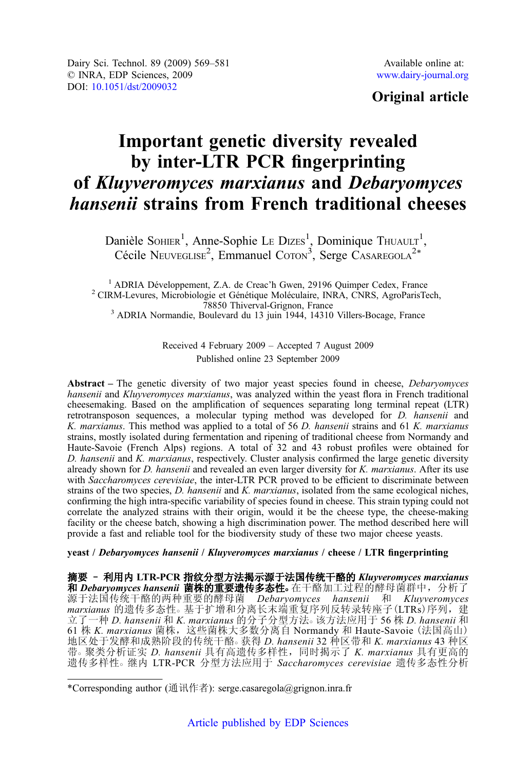## Original article

# Important genetic diversity revealed by inter-LTR PCR fingerprinting of Kluyveromyces marxianus and Debaryomyces hansenii strains from French traditional cheeses

Danièle SOHIER<sup>1</sup>, Anne-Sophie LE DIZES<sup>1</sup>, Dominique THUAULT<sup>1</sup>, Cécile NEUVEGLISE<sup>2</sup>, Emmanuel COTON<sup>3</sup>, Serge CASAREGOLA<sup>2\*</sup>

<sup>1</sup> ADRIA Développement, Z.A. de Creac'h Gwen, 29196 Quimper Cedex, France <sup>2</sup> CIRM-Levures, Microbiologie et Génétique Moléculaire, INRA, CNRS, AgroParisTech, 78850 Thiverval-Grignon, France <sup>3</sup> ADRIA Normandie, Boulevard du 13 juin 1944, 14310 Villers-Bocage, France

> Received 4 February 2009 – Accepted 7 August 2009 Published online 23 September 2009

Abstract – The genetic diversity of two major yeast species found in cheese, *Debaryomyces* hansenii and Kluyveromyces marxianus, was analyzed within the yeast flora in French traditional cheesemaking. Based on the amplification of sequences separating long terminal repeat (LTR) retrotransposon sequences, a molecular typing method was developed for D. hansenii and K. marxianus. This method was applied to a total of 56 D. hansenii strains and 61 K. marxianus strains, mostly isolated during fermentation and ripening of traditional cheese from Normandy and Haute-Savoie (French Alps) regions. A total of 32 and 43 robust profiles were obtained for D. hansenii and K. marxianus, respectively. Cluster analysis confirmed the large genetic diversity already shown for *D. hansenii* and revealed an even larger diversity for *K. marxianus*. After its use with Saccharomyces cerevisiae, the inter-LTR PCR proved to be efficient to discriminate between strains of the two species, *D. hansenii* and *K. marxianus*, isolated from the same ecological niches, confirming the high intra-specific variability of species found in cheese. This strain typing could not correlate the analyzed strains with their origin, would it be the cheese type, the cheese-making facility or the cheese batch, showing a high discrimination power. The method described here will provide a fast and reliable tool for the biodiversity study of these two major cheese yeasts.

yeast / Debaryomyces hansenii / Kluyveromyces marxianus / cheese / LTR fingerprinting

摘要 – 利用内 LTR-PCR 指纹分型方法揭示源于法国传统干酪的 Kluyveromyces marxianus th Debaryomyces hansenii 菌株的重要遗传多态性。在干酪加工过程的酵母菌群中,分析了 源于法国传统干酪的两种重要的酵母菌 Debaryomyces hansenii 和 Kluyveromyces marxianus 的遗传多态性。基于扩增和分离长末端重复序列反转录转座子(LTRs)序列, 建 立了一种 D. hansenii 和 K. marxianus 的分子分型方法。该方法应用于 56 株 D. hansenii 和 61 株 K. marxianus 菌株, 这些菌株大多数分离自 Normandy 和 Haute-Savoie (法国高山) 地区处于发酵和成熟阶段的传统干酪。获得 D. hansenii 32 种区带和 K. marxianus 43 种区 带。聚类分析证实 D. hansenii 具有高遗传多样性, 同时揭示了 K. marxianus 具有更高的 遗传多样性。继内 LTR-PCR 分型方法应用于 Saccharomyces cerevisiae 遗传多态性分析

<sup>\*</sup>Corresponding author (通讯作者): serge.casaregola@grignon.inra.fr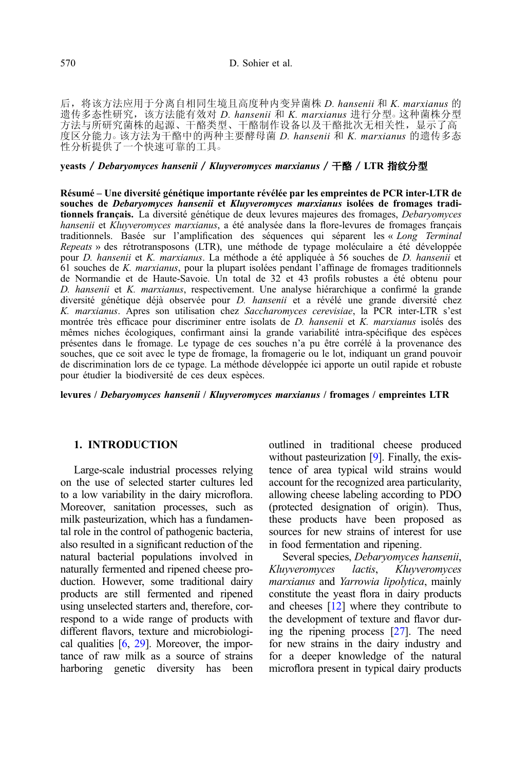后,将该方法应用于分离自相同生境且高度种内变异菌株 D. hansenii 和 K. marxianus 的 遗传多态性研究,该方法能有效对 D. hansenii 和 K. marxianus 进行分型。这种菌株分型 方法与所研究菌株的起源、干酪类型、干酪制作设备以及干酪批次无相关性,显示了高 度区分能力。该方法为干酪中的两种主要酵母菌 D. hansenii 和 K. marxianus 的遗传多态 性分析提供了一个快速可靠的工具。

## yeasts / Debaryomyces hansenii / Kluyveromyces marxianus / 干酪 / LTR 指纹分型

Résumé – Une diversité génétique importante révélée par les empreintes de PCR inter-LTR de souches de *Debaryomyces hansenii* et Kluyveromyces marxianus isolées de fromages traditionnels français. La diversité génétique de deux levures majeures des fromages, *Debaryomyces* hansenii et Kluyveromyces marxianus, a été analysée dans la flore-levures de fromages français traditionnels. Basée sur l'amplification des séquences qui séparent les « Long Terminal Repeats » des rétrotransposons (LTR), une méthode de typage moléculaire a été développée pour D. hansenii et K. marxianus. La méthode a été appliquée à 56 souches de D. hansenii et 61 souches de K. marxianus, pour la plupart isolées pendant l'affinage de fromages traditionnels de Normandie et de Haute-Savoie. Un total de 32 et 43 profils robustes a été obtenu pour D. hansenii et K. marxianus, respectivement. Une analyse hiérarchique a confirmé la grande diversité génétique déjà observée pour *D. hansenii* et a révélé une grande diversité chez K. marxianus. Apres son utilisation chez Saccharomyces cerevisiae, la PCR inter-LTR s'est montrée très efficace pour discriminer entre isolats de D. hansenii et K. marxianus isolés des mêmes niches écologiques, confirmant ainsi la grande variabilité intra-spécifique des espèces présentes dans le fromage. Le typage de ces souches n'a pu être corrélé à la provenance des souches, que ce soit avec le type de fromage, la fromagerie ou le lot, indiquant un grand pouvoir de discrimination lors de ce typage. La méthode développée ici apporte un outil rapide et robuste pour étudier la biodiversité de ces deux espèces.

levures / Debaryomyces hansenii / Kluyveromyces marxianus / fromages / empreintes LTR

## 1. INTRODUCTION

Large-scale industrial processes relying on the use of selected starter cultures led to a low variability in the dairy microflora. Moreover, sanitation processes, such as milk pasteurization, which has a fundamental role in the control of pathogenic bacteria, also resulted in a significant reduction of the natural bacterial populations involved in naturally fermented and ripened cheese production. However, some traditional dairy products are still fermented and ripened using unselected starters and, therefore, correspond to a wide range of products with different flavors, texture and microbiological qualities [\[6](#page-11-0), [29](#page-12-0)]. Moreover, the importance of raw milk as a source of strains harboring genetic diversity has been outlined in traditional cheese produced without pasteurization [\[9](#page-11-0)]. Finally, the existence of area typical wild strains would account for the recognized area particularity, allowing cheese labeling according to PDO (protected designation of origin). Thus, these products have been proposed as sources for new strains of interest for use in food fermentation and ripening.

Several species, Debaryomyces hansenii, Kluyveromyces lactis, Kluyveromyces marxianus and Yarrowia lipolytica, mainly constitute the yeast flora in dairy products and cheeses [\[12\]](#page-11-0) where they contribute to the development of texture and flavor during the ripening process [[27\]](#page-12-0). The need for new strains in the dairy industry and for a deeper knowledge of the natural microflora present in typical dairy products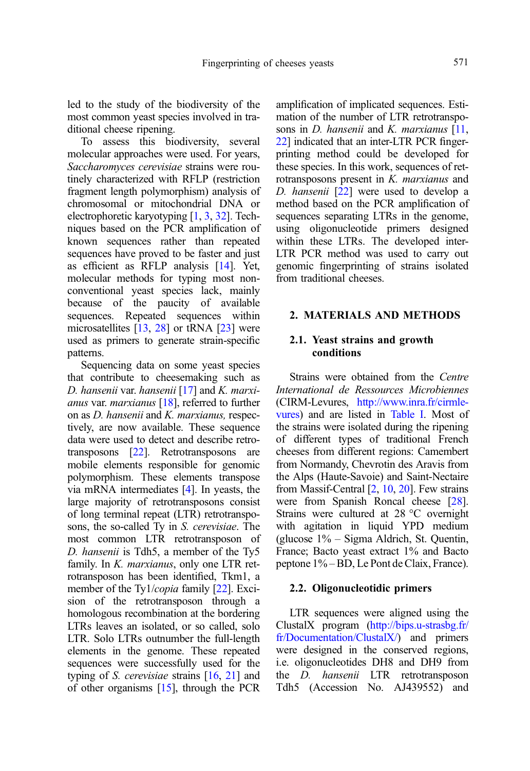led to the study of the biodiversity of the most common yeast species involved in traditional cheese ripening.

To assess this biodiversity, several molecular approaches were used. For years, Saccharomyces cerevisiae strains were routinely characterized with RFLP (restriction fragment length polymorphism) analysis of chromosomal or mitochondrial DNA or electrophoretic karyotyping [[1,](#page-10-0) [3](#page-11-0), [32\]](#page-12-0). Techniques based on the PCR amplification of known sequences rather than repeated sequences have proved to be faster and just as efficient as RFLP analysis [\[14\]](#page-11-0). Yet, molecular methods for typing most nonconventional yeast species lack, mainly because of the paucity of available sequences. Repeated sequences within microsatellites [\[13](#page-11-0), [28\]](#page-12-0) or tRNA [[23](#page-12-0)] were used as primers to generate strain-specific patterns.

Sequencing data on some yeast species that contribute to cheesemaking such as D. hansenii var. hansenii [\[17\]](#page-11-0) and K. marxi*anus var. marxianus*  $[18]$  $[18]$ , referred to further on as D. hansenii and K. marxianus, respectively, are now available. These sequence data were used to detect and describe retrotransposons [\[22](#page-12-0)]. Retrotransposons are mobile elements responsible for genomic polymorphism. These elements transpose via mRNA intermediates [[4\]](#page-11-0). In yeasts, the large majority of retrotransposons consist of long terminal repeat (LTR) retrotransposons, the so-called Ty in S. cerevisiae. The most common LTR retrotransposon of D. hansenii is Tdh5, a member of the Ty5 family. In *K. marxianus*, only one LTR retrotransposon has been identified, Tkm1, a member of the Ty1/*copia* family [\[22\]](#page-12-0). Excision of the retrotransposon through a homologous recombination at the bordering LTRs leaves an isolated, or so called, solo LTR. Solo LTRs outnumber the full-length elements in the genome. These repeated sequences were successfully used for the typing of S. cerevisiae strains [\[16](#page-11-0), [21\]](#page-12-0) and of other organisms [[15\]](#page-11-0), through the PCR amplification of implicated sequences. Estimation of the number of LTR retrotransposons in *D. hansenii* and *K. marxianus*  $\overline{11}$ , [22](#page-12-0)] indicated that an inter-LTR PCR fingerprinting method could be developed for these species. In this work, sequences of retrotransposons present in K. marxianus and D. hansenii [\[22](#page-12-0)] were used to develop a method based on the PCR amplification of sequences separating LTRs in the genome, using oligonucleotide primers designed within these LTRs. The developed inter-LTR PCR method was used to carry out genomic fingerprinting of strains isolated from traditional cheeses.

## 2. MATERIALS AND METHODS

## 2.1. Yeast strains and growth conditions

Strains were obtained from the Centre International de Ressources Microbiennes (CIRM-Levures, [http://www.inra.fr/cirmle](http://www.inra.fr/cirmlevures)[vures](http://www.inra.fr/cirmlevures)) and are listed in Table I. Most of the strains were isolated during the ripening of different types of traditional French cheeses from different regions: Camembert from Normandy, Chevrotin des Aravis from the Alps (Haute-Savoie) and Saint-Nectaire from Massif-Central [[2,](#page-11-0) [10](#page-11-0), [20\]](#page-12-0). Few strains were from Spanish Roncal cheese [[28](#page-12-0)]. Strains were cultured at 28 °C overnight with agitation in liquid YPD medium (glucose 1% – Sigma Aldrich, St. Quentin, France; Bacto yeast extract 1% and Bacto peptone 1% –BD, Le Pont de Claix, France).

## 2.2. Oligonucleotidic primers

LTR sequences were aligned using the ClustalX program [\(http://bips.u-strasbg.fr/](http://bips.u-strasbg.fr/fr/Documentation/ClustalX/) [fr/Documentation/ClustalX/\)](http://bips.u-strasbg.fr/fr/Documentation/ClustalX/) and primers were designed in the conserved regions, i.e. oligonucleotides DH8 and DH9 from the D. hansenii LTR retrotransposon Tdh5 (Accession No. AJ439552) and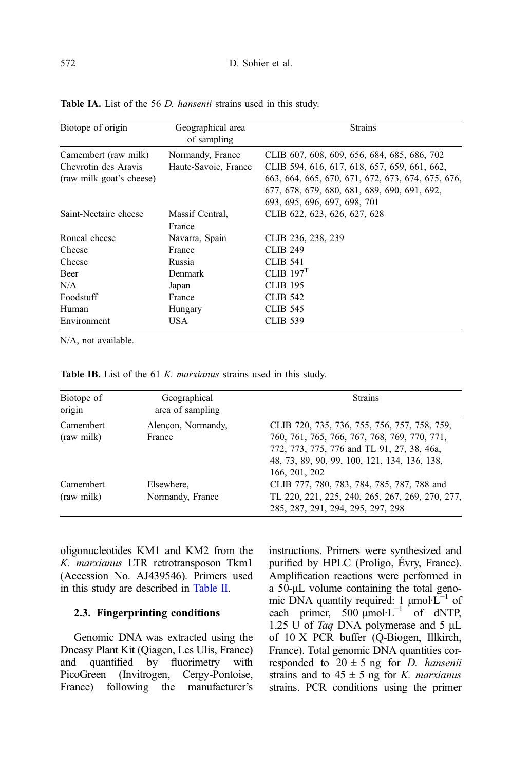| Biotope of origin        | Geographical area<br>of sampling | <b>Strains</b>                                    |  |  |
|--------------------------|----------------------------------|---------------------------------------------------|--|--|
| Camembert (raw milk)     | Normandy, France                 | CLIB 607, 608, 609, 656, 684, 685, 686, 702       |  |  |
| Chevrotin des Aravis     | Haute-Savoie, France             | CLIB 594, 616, 617, 618, 657, 659, 661, 662,      |  |  |
| (raw milk goat's cheese) |                                  | 663, 664, 665, 670, 671, 672, 673, 674, 675, 676, |  |  |
|                          |                                  | 677, 678, 679, 680, 681, 689, 690, 691, 692,      |  |  |
|                          |                                  | 693, 695, 696, 697, 698, 701                      |  |  |
| Saint-Nectaire cheese    | Massif Central,                  | CLIB 622, 623, 626, 627, 628                      |  |  |
|                          | France                           |                                                   |  |  |
| Roncal cheese            | Navarra, Spain                   | CLIB 236, 238, 239                                |  |  |
| Cheese                   | France                           | <b>CLIB 249</b>                                   |  |  |
| Cheese                   | Russia                           | <b>CLIB 541</b>                                   |  |  |
| Beer                     | Denmark                          | CLIB 197 <sup>T</sup>                             |  |  |
| N/A                      | Japan                            | <b>CLIB</b> 195                                   |  |  |
| Foodstuff                | France                           | <b>CLIB 542</b>                                   |  |  |
| Human                    | Hungary                          | <b>CLIB 545</b>                                   |  |  |
| Environment              | USA                              | <b>CLIB 539</b>                                   |  |  |

Table IA. List of the 56 D. *hansenii* strains used in this study.

N/A, not available.

|  |  |  |  |  |  |  | Table IB. List of the 61 K. marxianus strains used in this study. |  |  |  |  |  |
|--|--|--|--|--|--|--|-------------------------------------------------------------------|--|--|--|--|--|
|--|--|--|--|--|--|--|-------------------------------------------------------------------|--|--|--|--|--|

| Biotope of<br>origin    | Geographical<br>area of sampling | <b>Strains</b>                                                                                                                                                                                              |
|-------------------------|----------------------------------|-------------------------------------------------------------------------------------------------------------------------------------------------------------------------------------------------------------|
| Camembert<br>(raw milk) | Alençon, Normandy,<br>France     | CLIB 720, 735, 736, 755, 756, 757, 758, 759,<br>760, 761, 765, 766, 767, 768, 769, 770, 771,<br>772, 773, 775, 776 and TL 91, 27, 38, 46a,<br>48, 73, 89, 90, 99, 100, 121, 134, 136, 138,<br>166, 201, 202 |
| Camembert<br>(raw milk) | Elsewhere,<br>Normandy, France   | CLIB 777, 780, 783, 784, 785, 787, 788 and<br>TL 220, 221, 225, 240, 265, 267, 269, 270, 277,<br>285, 287, 291, 294, 295, 297, 298                                                                          |

oligonucleotides KM1 and KM2 from the K. marxianus LTR retrotransposon Tkm1 (Accession No. AJ439546). Primers used in this study are described in [Table II](#page-4-0).

## 2.3. Fingerprinting conditions

Genomic DNA was extracted using the Dneasy Plant Kit (Qiagen, Les Ulis, France) and quantified by fluorimetry with PicoGreen (Invitrogen, Cergy-Pontoise, France) following the manufacturer's instructions. Primers were synthesized and purified by HPLC (Proligo, Évry, France). Amplification reactions were performed in a 50-μL volume containing the total genomic DNA quantity required: 1  $\mu$ mol·L<sup>-1</sup> of each primer,  $500 \mu \text{mol} \cdot \text{L}^{-1}$  of dNTP, 1.25 U of Taq DNA polymerase and 5 μL of 10 X PCR buffer (Q-Biogen, Illkirch, France). Total genomic DNA quantities corresponded to  $20 \pm 5$  ng for *D. hansenii* strains and to  $45 \pm 5$  ng for K. *marxianus* strains. PCR conditions using the primer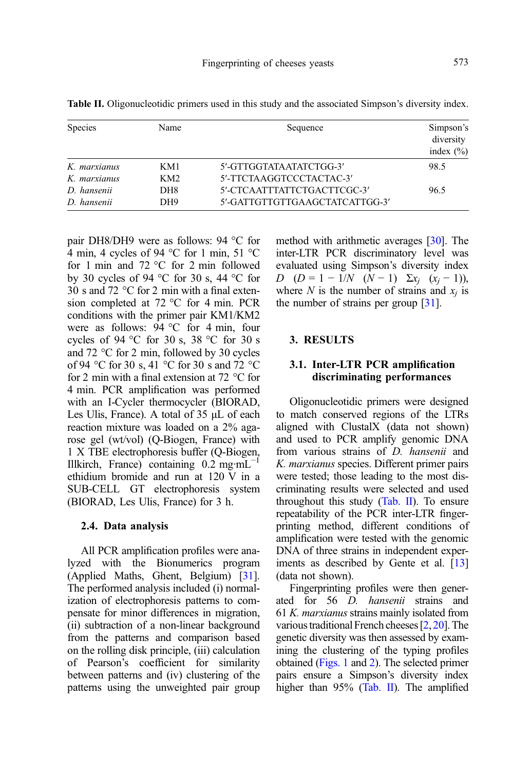| Species      | Name            | Sequence                       | Simpson's<br>diversity<br>index $(\% )$ |
|--------------|-----------------|--------------------------------|-----------------------------------------|
| K. marxianus | KM1             | 5'-GTTGGTATAATATCTGG-3'        | 98.5                                    |
| K. marxianus | KM <sub>2</sub> | 5'-TTCTAAGGTCCCTACTAC-3'       |                                         |
| D. hansenii  | DH <sub>8</sub> | 5'-CTCAATTTATTCTGACTTCGC-3'    | 96.5                                    |
| D. hansenii  | DH <sub>9</sub> | 5'-GATTGTTGTTGAAGCTATCATTGG-3' |                                         |
|              |                 |                                |                                         |

<span id="page-4-0"></span>Table II. Oligonucleotidic primers used in this study and the associated Simpson's diversity index.

pair DH8/DH9 were as follows: 94 °C for 4 min, 4 cycles of 94 °C for 1 min, 51 °C for 1 min and 72 °C for 2 min followed by 30 cycles of 94  $\degree$ C for 30 s, 44  $\degree$ C for 30 s and 72 °C for 2 min with a final extension completed at 72 °C for 4 min. PCR conditions with the primer pair KM1/KM2 were as follows: 94 °C for 4 min, four cycles of 94 °C for 30 s, 38 °C for 30 s and 72 °C for 2 min, followed by 30 cycles of 94 °C for 30 s, 41 °C for 30 s and 72 °C for 2 min with a final extension at 72 °C for 4 min. PCR amplification was performed with an I-Cycler thermocycler (BIORAD, Les Ulis, France). A total of 35 μL of each reaction mixture was loaded on a 2% agarose gel (wt/vol) (Q-Biogen, France) with 1 X TBE electrophoresis buffer (Q-Biogen, Illkirch, France) containing 0.2 mg·mL−<sup>1</sup> ethidium bromide and run at 120 V in a SUB-CELL GT electrophoresis system (BIORAD, Les Ulis, France) for 3 h.

#### 2.4. Data analysis

All PCR amplification profiles were analyzed with the Bionumerics program (Applied Maths, Ghent, Belgium) [\[31](#page-12-0)]. The performed analysis included (i) normalization of electrophoresis patterns to compensate for minor differences in migration, (ii) subtraction of a non-linear background from the patterns and comparison based on the rolling disk principle, (iii) calculation of Pearson's coefficient for similarity between patterns and (iv) clustering of the patterns using the unweighted pair group method with arithmetic averages [[30](#page-12-0)]. The inter-LTR PCR discriminatory level was evaluated using Simpson's diversity index D  $(D = 1 - 1/N$   $(N - 1)$   $\Sigma x_i$   $(x_i - 1)$ ), where N is the number of strains and  $x_i$  is the number of strains per group [\[31\]](#page-12-0).

## 3. RESULTS

## 3.1. Inter-LTR PCR amplification discriminating performances

Oligonucleotidic primers were designed to match conserved regions of the LTRs aligned with ClustalX (data not shown) and used to PCR amplify genomic DNA from various strains of D. hansenii and K. marxianus species. Different primer pairs were tested; those leading to the most discriminating results were selected and used throughout this study  $(Tab, \Pi)$ . To ensure repeatability of the PCR inter-LTR fingerprinting method, different conditions of amplification were tested with the genomic DNA of three strains in independent exper-iments as described by Gente et al. [\[13\]](#page-11-0) (data not shown).

Fingerprinting profiles were then generated for 56 D. hansenii strains and 61 K. marxianus strains mainly isolated from various traditional French cheeses [\[2,](#page-11-0) [20](#page-12-0)]. The genetic diversity was then assessed by examining the clustering of the typing profiles obtained ([Figs. 1](#page-5-0) and [2](#page-6-0)). The selected primer pairs ensure a Simpson's diversity index higher than 95% (Tab. II). The amplified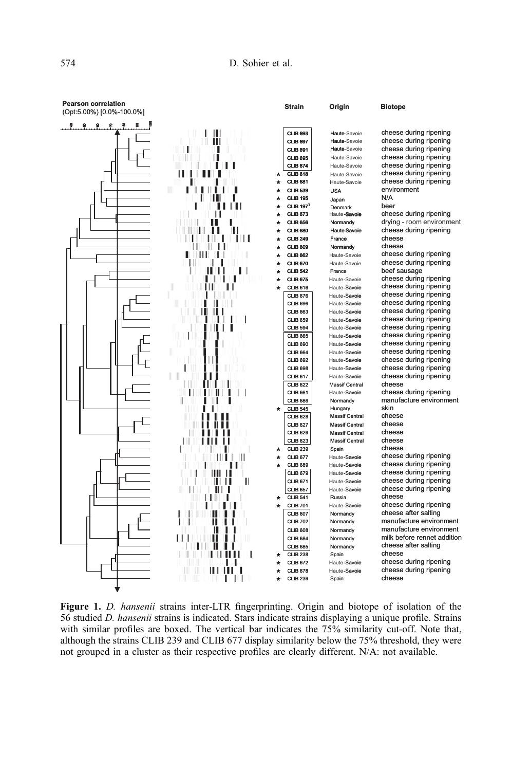<span id="page-5-0"></span>

Figure 1. *D. hansenii* strains inter-LTR fingerprinting. Origin and biotope of isolation of the 56 studied D. hansenii strains is indicated. Stars indicate strains displaying a unique profile. Strains with similar profiles are boxed. The vertical bar indicates the 75% similarity cut-off. Note that, although the strains CLIB 239 and CLIB 677 display similarity below the 75% threshold, they were not grouped in a cluster as their respective profiles are clearly different. N/A: not available.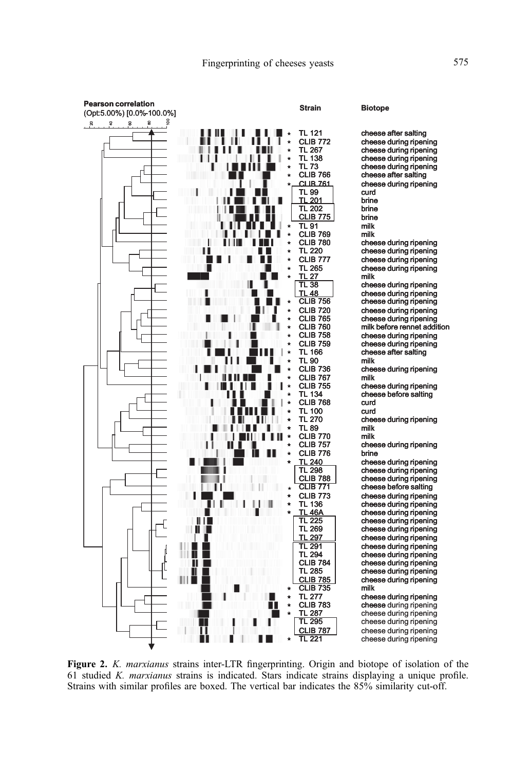<span id="page-6-0"></span>

Figure 2. K. marxianus strains inter-LTR fingerprinting. Origin and biotope of isolation of the 61 studied K. marxianus strains is indicated. Stars indicate strains displaying a unique profile. Strains with similar profiles are boxed. The vertical bar indicates the 85% similarity cut-off.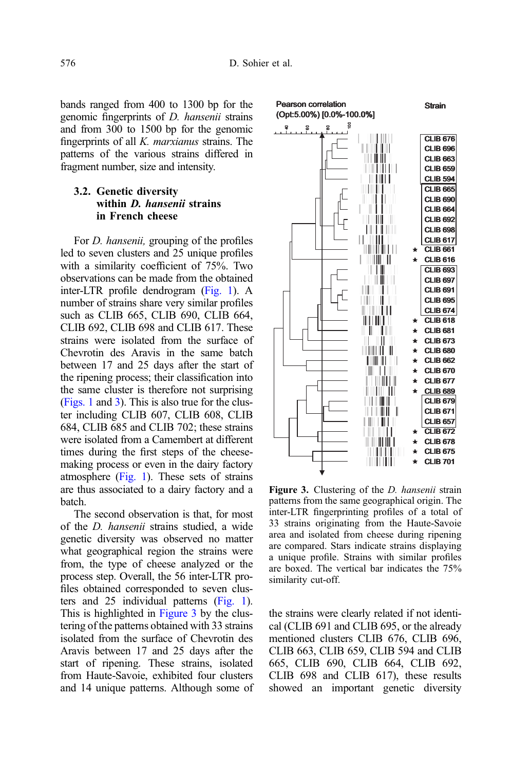bands ranged from 400 to 1300 bp for the genomic fingerprints of D. hansenii strains and from 300 to 1500 bp for the genomic fingerprints of all K. marxianus strains. The patterns of the various strains differed in fragment number, size and intensity.

## 3.2. Genetic diversity within D. hansenii strains in French cheese

For *D. hansenii*, grouping of the profiles led to seven clusters and 25 unique profiles with a similarity coefficient of 75%. Two observations can be made from the obtained inter-LTR profile dendrogram ([Fig. 1\)](#page-5-0). A number of strains share very similar profiles such as CLIB 665, CLIB 690, CLIB 664, CLIB 692, CLIB 698 and CLIB 617. These strains were isolated from the surface of Chevrotin des Aravis in the same batch between 17 and 25 days after the start of the ripening process; their classification into the same cluster is therefore not surprising [\(Figs. 1](#page-5-0) and 3). This is also true for the cluster including CLIB 607, CLIB 608, CLIB 684, CLIB 685 and CLIB 702; these strains were isolated from a Camembert at different times during the first steps of the cheesemaking process or even in the dairy factory atmosphere [\(Fig. 1\)](#page-5-0). These sets of strains are thus associated to a dairy factory and a batch.

The second observation is that, for most of the D. hansenii strains studied, a wide genetic diversity was observed no matter what geographical region the strains were from, the type of cheese analyzed or the process step. Overall, the 56 inter-LTR profiles obtained corresponded to seven clusters and 25 individual patterns ([Fig. 1\)](#page-5-0). This is highlighted in Figure 3 by the clustering of the patterns obtained with 33 strains isolated from the surface of Chevrotin des Aravis between 17 and 25 days after the start of ripening. These strains, isolated from Haute-Savoie, exhibited four clusters and 14 unique patterns. Although some of



Figure 3. Clustering of the *D. hansenii* strain patterns from the same geographical origin. The inter-LTR fingerprinting profiles of a total of 33 strains originating from the Haute-Savoie area and isolated from cheese during ripening are compared. Stars indicate strains displaying a unique profile. Strains with similar profiles are boxed. The vertical bar indicates the 75% similarity cut-off.

the strains were clearly related if not identical (CLIB 691 and CLIB 695, or the already mentioned clusters CLIB 676, CLIB 696, CLIB 663, CLIB 659, CLIB 594 and CLIB 665, CLIB 690, CLIB 664, CLIB 692, CLIB 698 and CLIB 617), these results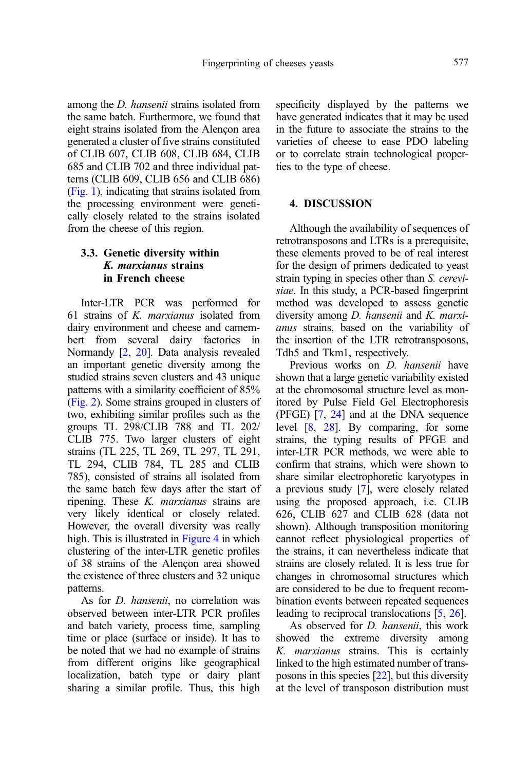among the *D. hansenii* strains isolated from the same batch. Furthermore, we found that eight strains isolated from the Alençon area generated a cluster of five strains constituted of CLIB 607, CLIB 608, CLIB 684, CLIB 685 and CLIB 702 and three individual patterns (CLIB 609, CLIB 656 and CLIB 686) ([Fig. 1](#page-5-0)), indicating that strains isolated from the processing environment were genetically closely related to the strains isolated from the cheese of this region.

## 3.3. Genetic diversity within K. marxianus strains in French cheese

Inter-LTR PCR was performed for 61 strains of K. marxianus isolated from dairy environment and cheese and camembert from several dairy factories in Normandy [\[2](#page-11-0), [20\]](#page-12-0). Data analysis revealed an important genetic diversity among the studied strains seven clusters and 43 unique patterns with a similarity coefficient of 85% ([Fig. 2](#page-6-0)). Some strains grouped in clusters of two, exhibiting similar profiles such as the groups TL 298/CLIB 788 and TL 202/ CLIB 775. Two larger clusters of eight strains (TL 225, TL 269, TL 297, TL 291, TL 294, CLIB 784, TL 285 and CLIB 785), consisted of strains all isolated from the same batch few days after the start of ripening. These K. marxianus strains are very likely identical or closely related. However, the overall diversity was really high. This is illustrated in [Figure 4](#page-9-0) in which clustering of the inter-LTR genetic profiles of 38 strains of the Alençon area showed the existence of three clusters and 32 unique patterns.

As for *D. hansenii*, no correlation was observed between inter-LTR PCR profiles and batch variety, process time, sampling time or place (surface or inside). It has to be noted that we had no example of strains from different origins like geographical localization, batch type or dairy plant sharing a similar profile. Thus, this high specificity displayed by the patterns we have generated indicates that it may be used in the future to associate the strains to the varieties of cheese to ease PDO labeling or to correlate strain technological properties to the type of cheese.

## 4. DISCUSSION

Although the availability of sequences of retrotransposons and LTRs is a prerequisite, these elements proved to be of real interest for the design of primers dedicated to yeast strain typing in species other than S. cerevisiae. In this study, a PCR-based fingerprint method was developed to assess genetic diversity among D. hansenii and K. marxianus strains, based on the variability of the insertion of the LTR retrotransposons, Tdh5 and Tkm1, respectively.

Previous works on D. hansenii have shown that a large genetic variability existed at the chromosomal structure level as monitored by Pulse Field Gel Electrophoresis (PFGE) [[7,](#page-11-0) [24\]](#page-12-0) and at the DNA sequence level [\[8,](#page-11-0) [28\]](#page-12-0). By comparing, for some strains, the typing results of PFGE and inter-LTR PCR methods, we were able to confirm that strains, which were shown to share similar electrophoretic karyotypes in a previous study [[7](#page-11-0)], were closely related using the proposed approach, i.e. CLIB 626, CLIB 627 and CLIB 628 (data not shown). Although transposition monitoring cannot reflect physiological properties of the strains, it can nevertheless indicate that strains are closely related. It is less true for changes in chromosomal structures which are considered to be due to frequent recombination events between repeated sequences leading to reciprocal translocations [\[5](#page-11-0), [26\]](#page-12-0).

As observed for *D. hansenii*, this work showed the extreme diversity among K. marxianus strains. This is certainly linked to the high estimated number of transposons in this species [\[22\]](#page-12-0), but this diversity at the level of transposon distribution must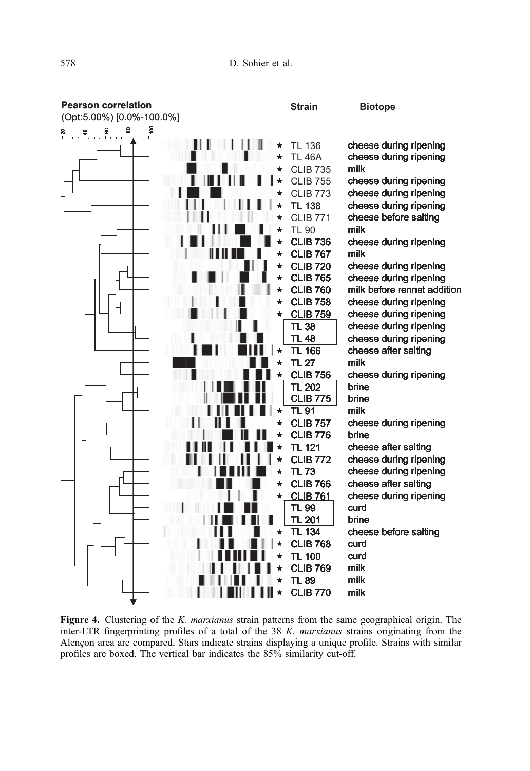<span id="page-9-0"></span>

Figure 4. Clustering of the K. marxianus strain patterns from the same geographical origin. The inter-LTR fingerprinting profiles of a total of the 38 K. marxianus strains originating from the Alençon area are compared. Stars indicate strains displaying a unique profile. Strains with similar profiles are boxed. The vertical bar indicates the 85% similarity cut-off.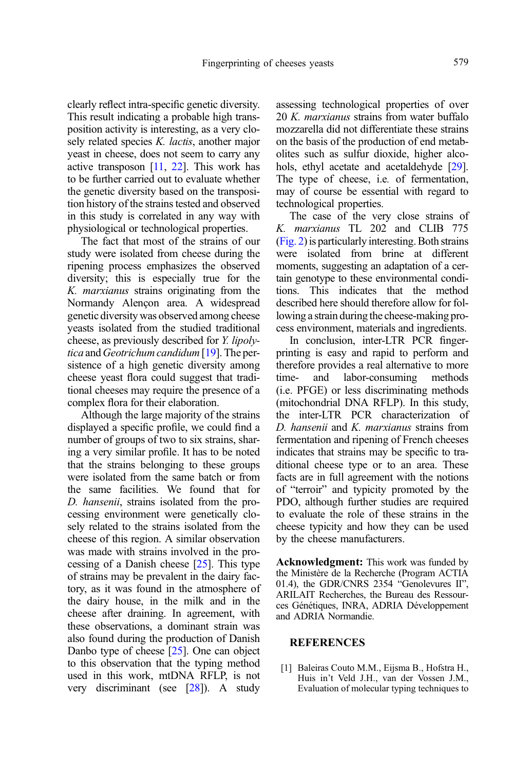<span id="page-10-0"></span>clearly reflect intra-specific genetic diversity. This result indicating a probable high transposition activity is interesting, as a very closely related species K. lactis, another major yeast in cheese, does not seem to carry any active transposon [\[11,](#page-11-0) [22](#page-12-0)]. This work has to be further carried out to evaluate whether the genetic diversity based on the transposition history of the strains tested and observed in this study is correlated in any way with physiological or technological properties.

The fact that most of the strains of our study were isolated from cheese during the ripening process emphasizes the observed diversity; this is especially true for the K. marxianus strains originating from the Normandy Alençon area. A widespread genetic diversity was observed among cheese yeasts isolated from the studied traditional cheese, as previously described for Y. lipolytica and Geotrichum candidum  $[19]$ . The persistence of a high genetic diversity among cheese yeast flora could suggest that traditional cheeses may require the presence of a complex flora for their elaboration.

Although the large majority of the strains displayed a specific profile, we could find a number of groups of two to six strains, sharing a very similar profile. It has to be noted that the strains belonging to these groups were isolated from the same batch or from the same facilities. We found that for D. hansenii, strains isolated from the processing environment were genetically closely related to the strains isolated from the cheese of this region. A similar observation was made with strains involved in the processing of a Danish cheese [[25](#page-12-0)]. This type of strains may be prevalent in the dairy factory, as it was found in the atmosphere of the dairy house, in the milk and in the cheese after draining. In agreement, with these observations, a dominant strain was also found during the production of Danish Danbo type of cheese [[25](#page-12-0)]. One can object to this observation that the typing method used in this work, mtDNA RFLP, is not very discriminant (see [\[28\]](#page-12-0)). A study

assessing technological properties of over 20 K. marxianus strains from water buffalo mozzarella did not differentiate these strains on the basis of the production of end metabolites such as sulfur dioxide, higher alco-hols, ethyl acetate and acetaldehyde [[29](#page-12-0)]. The type of cheese, i.e. of fermentation, may of course be essential with regard to technological properties.

The case of the very close strains of K. marxianus TL 202 and CLIB 775 ([Fig. 2](#page-6-0)) is particularly interesting. Both strains were isolated from brine at different moments, suggesting an adaptation of a certain genotype to these environmental conditions. This indicates that the method described here should therefore allow for following a strain during the cheese-making process environment, materials and ingredients.

In conclusion, inter-LTR PCR fingerprinting is easy and rapid to perform and therefore provides a real alternative to more time- and labor-consuming methods (i.e. PFGE) or less discriminating methods (mitochondrial DNA RFLP). In this study, the inter-LTR PCR characterization of D. hansenii and K. marxianus strains from fermentation and ripening of French cheeses indicates that strains may be specific to traditional cheese type or to an area. These facts are in full agreement with the notions of "terroir" and typicity promoted by the PDO, although further studies are required to evaluate the role of these strains in the cheese typicity and how they can be used by the cheese manufacturers.

Acknowledgment: This work was funded by the Ministère de la Recherche (Program ACTIA 01.4), the GDR/CNRS 2354 "Genolevures II", ARILAIT Recherches, the Bureau des Ressources Génétiques, INRA, ADRIA Développement and ADRIA Normandie.

#### REFERENCES

[1] Baleiras Couto M.M., Eijsma B., Hofstra H., Huis in't Veld J.H., van der Vossen J.M., Evaluation of molecular typing techniques to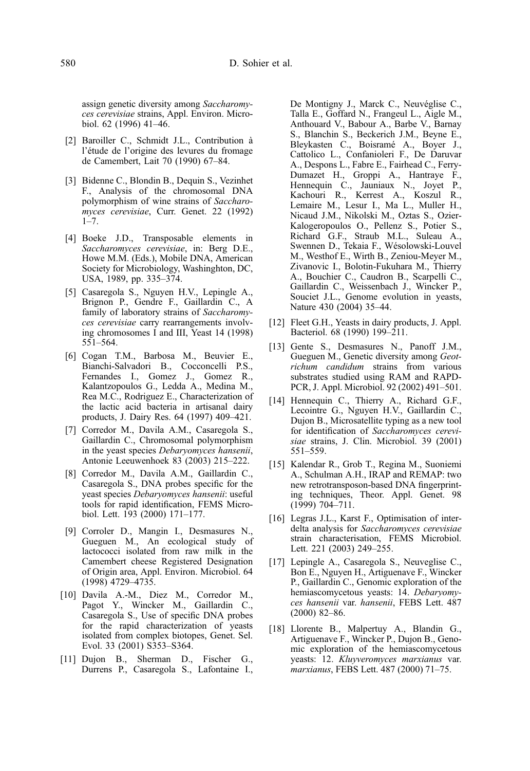<span id="page-11-0"></span>assign genetic diversity among Saccharomyces cerevisiae strains, Appl. Environ. Microbiol. 62 (1996) 41–46.

- [2] Baroiller C., Schmidt J.L., Contribution à l'étude de l'origine des levures du fromage de Camembert, Lait 70 (1990) 67–84.
- [3] Bidenne C., Blondin B., Dequin S., Vezinhet F., Analysis of the chromosomal DNA polymorphism of wine strains of Saccharomyces cerevisiae, Curr. Genet. 22 (1992)  $1 - 7$ .
- [4] Boeke J.D., Transposable elements in Saccharomyces cerevisiae, in: Berg D.E., Howe M.M. (Eds.), Mobile DNA, American Society for Microbiology, Washinghton, DC, USA, 1989, pp. 335–374.
- [5] Casaregola S., Nguyen H.V., Lepingle A., Brignon P., Gendre F., Gaillardin C., A family of laboratory strains of Saccharomyces cerevisiae carry rearrangements involving chromosomes I and III, Yeast 14 (1998) 551–564.
- [6] Cogan T.M., Barbosa M., Beuvier E., Bianchi-Salvadori B., Cocconcelli P.S., Fernandes I., Gomez J., Gomez R., Kalantzopoulos G., Ledda A., Medina M., Rea M.C., Rodriguez E., Characterization of the lactic acid bacteria in artisanal dairy products, J. Dairy Res. 64 (1997) 409–421.
- [7] Corredor M., Davila A.M., Casaregola S., Gaillardin C., Chromosomal polymorphism in the yeast species Debaryomyces hansenii, Antonie Leeuwenhoek 83 (2003) 215–222.
- [8] Corredor M., Davila A.M., Gaillardin C., Casaregola S., DNA probes specific for the yeast species Debaryomyces hansenii: useful tools for rapid identification, FEMS Microbiol. Lett. 193 (2000) 171–177.
- [9] Corroler D., Mangin I., Desmasures N., Gueguen M., An ecological study of lactococci isolated from raw milk in the Camembert cheese Registered Designation of Origin area, Appl. Environ. Microbiol. 64 (1998) 4729–4735.
- [10] Davila A.-M., Diez M., Corredor M., Pagot Y., Wincker M., Gaillardin C., Casaregola S., Use of specific DNA probes for the rapid characterization of yeasts isolated from complex biotopes, Genet. Sel. Evol. 33 (2001) S353–S364.
- [11] Dujon B., Sherman D., Fischer G., Durrens P., Casaregola S., Lafontaine I.,

De Montigny J., Marck C., Neuvéglise C., Talla E., Goffard N., Frangeul L., Aigle M., Anthouard V., Babour A., Barbe V., Barnay S., Blanchin S., Beckerich J.M., Beyne E., Bleykasten C., Boisramé A., Boyer J., Cattolico L., Confanioleri F., De Daruvar A., Despons L., Fabre E., Fairhead C., Ferry-Dumazet H., Groppi A., Hantraye F., Hennequin C., Jauniaux N., Joyet P., Kachouri R., Kerrest A., Koszul R., Lemaire M., Lesur I., Ma L., Muller H., Nicaud J.M., Nikolski M., Oztas S., Ozier-Kalogeropoulos O., Pellenz S., Potier S., Richard G.F., Straub M.L., Suleau A., Swennen D., Tekaia F., Wésolowski-Louvel M., Westhof E., Wirth B., Zeniou-Meyer M., Zivanovic I., Bolotin-Fukuhara M., Thierry A., Bouchier C., Caudron B., Scarpelli C., Gaillardin C., Weissenbach J., Wincker P., Souciet J.L., Genome evolution in yeasts, Nature 430 (2004) 35–44.

- [12] Fleet G.H., Yeasts in dairy products, J. Appl. Bacteriol. 68 (1990) 199–211.
- [13] Gente S., Desmasures N., Panoff J.M., Gueguen M., Genetic diversity among Geotrichum candidum strains from various substrates studied using RAM and RAPD-PCR, J. Appl. Microbiol. 92 (2002) 491–501.
- [14] Hennequin C., Thierry A., Richard G.F., Lecointre G., Nguyen H.V., Gaillardin C., Dujon B., Microsatellite typing as a new tool for identification of Saccharomyces cerevisiae strains, J. Clin. Microbiol. 39 (2001) 551–559.
- [15] Kalendar R., Grob T., Regina M., Suoniemi A., Schulman A.H., IRAP and REMAP: two new retrotransposon-based DNA fingerprinting techniques, Theor. Appl. Genet. 98 (1999) 704–711.
- [16] Legras J.L., Karst F., Optimisation of interdelta analysis for Saccharomyces cerevisiae strain characterisation, FEMS Microbiol. Lett. 221 (2003) 249–255.
- [17] Lepingle A., Casaregola S., Neuveglise C., Bon E., Nguyen H., Artiguenave F., Wincker P., Gaillardin C., Genomic exploration of the hemiascomycetous yeasts: 14. Debaryomyces hansenii var. hansenii, FEBS Lett. 487 (2000) 82–86.
- [18] Llorente B., Malpertuy A., Blandin G., Artiguenave F., Wincker P., Dujon B., Genomic exploration of the hemiascomycetous yeasts: 12. Kluyveromyces marxianus var. marxianus, FEBS Lett. 487 (2000) 71–75.